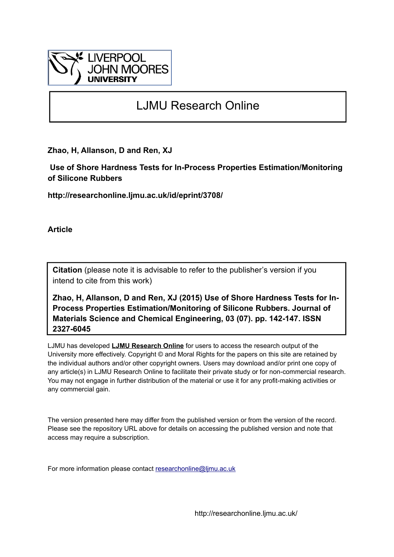

# LJMU Research Online

**Zhao, H, Allanson, D and Ren, XJ**

 **Use of Shore Hardness Tests for In-Process Properties Estimation/Monitoring of Silicone Rubbers**

**http://researchonline.ljmu.ac.uk/id/eprint/3708/**

**Article**

**Citation** (please note it is advisable to refer to the publisher's version if you intend to cite from this work)

**Zhao, H, Allanson, D and Ren, XJ (2015) Use of Shore Hardness Tests for In-Process Properties Estimation/Monitoring of Silicone Rubbers. Journal of Materials Science and Chemical Engineering, 03 (07). pp. 142-147. ISSN 2327-6045** 

LJMU has developed **[LJMU Research Online](http://researchonline.ljmu.ac.uk/)** for users to access the research output of the University more effectively. Copyright © and Moral Rights for the papers on this site are retained by the individual authors and/or other copyright owners. Users may download and/or print one copy of any article(s) in LJMU Research Online to facilitate their private study or for non-commercial research. You may not engage in further distribution of the material or use it for any profit-making activities or any commercial gain.

The version presented here may differ from the published version or from the version of the record. Please see the repository URL above for details on accessing the published version and note that access may require a subscription.

For more information please contact [researchonline@ljmu.ac.uk](mailto:researchonline@ljmu.ac.uk)

http://researchonline.ljmu.ac.uk/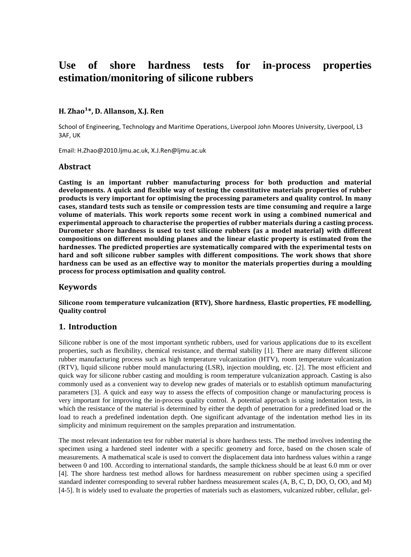# **Use of shore hardness tests for in-process properties estimation/monitoring of silicone rubbers**

# **H. Zhao<sup>1\*</sup>, D. Allanson, X.I. Ren**

School of Engineering, Technology and Maritime Operations, Liverpool John Moores University, Liverpool, L3 3AF, UK

Email: H.Zhao@2010.ljmu.ac.uk, X.J.Ren@ljmu.ac.uk

# **Abstract**

**Casting is an important rubber manufacturing process for both production and material developments. A quick and flexible way of testing the constitutive materials properties of rubber products is very important for optimising the processing parameters and quality control. In many cases, standard tests such as tensile or compression tests are time consuming and require a large volume of materials. This work reports some recent work in using a combined numerical and experimental approach to characterise the properties of rubber materials during a casting process. Durometer shore hardness is used to test silicone rubbers (as a model material) with different compositions on different moulding planes and the linear elastic property is estimated from the hardnesses. The predicted properties are systematically compared with the experimental tests on hard and soft silicone rubber samples with different compositions. The work shows that shore hardness can be used as an effective way to monitor the materials properties during a moulding process for process optimisation and quality control.** 

# **Keywords**

**Silicone room temperature vulcanization (RTV), Shore hardness, Elastic properties, FE modelling, Quality control**

#### **1. Introduction**

Silicone rubber is one of the most important synthetic rubbers, used for various applications due to its excellent properties, such as flexibility, chemical resistance, and thermal stability [1]. There are many different silicone rubber manufacturing process such as high temperature vulcanization (HTV), room temperature vulcanization (RTV), liquid silicone rubber mould manufacturing (LSR), injection moulding, etc. [2]. The most efficient and quick way for silicone rubber casting and moulding is room temperature vulcanization approach. Casting is also commonly used as a convenient way to develop new grades of materials or to establish optimum manufacturing parameters [3]. A quick and easy way to assess the effects of composition change or manufacturing process is very important for improving the in-process quality control. A potential approach is using indentation tests, in which the resistance of the material is determined by either the depth of penetration for a predefined load or the load to reach a predefined indentation depth. One significant advantage of the indentation method lies in its simplicity and minimum requirement on the samples preparation and instrumentation.

The most relevant indentation test for rubber material is shore hardness tests. The method involves indenting the specimen using a hardened steel indenter with a specific geometry and force, based on the chosen scale of measurements. A mathematical scale is used to convert the displacement data into hardness values within a range between 0 and 100. According to international standards, the sample thickness should be at least 6.0 mm or over [4]. The shore hardness test method allows for hardness measurement on rubber specimen using a specified standard indenter corresponding to several rubber hardness measurement scales (A, B, C, D, DO, O, OO, and M) [4-5]. It is widely used to evaluate the properties of materials such as elastomers, vulcanized rubber, cellular, gel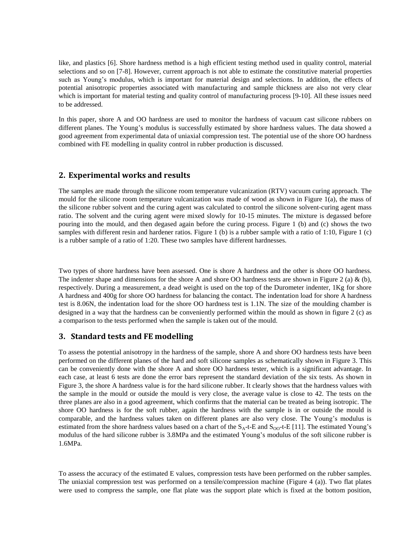like, and plastics [6]. Shore hardness method is a high efficient testing method used in quality control, material selections and so on [7-8]. However, current approach is not able to estimate the constitutive material properties such as Young's modulus, which is important for material design and selections. In addition, the effects of potential anisotropic properties associated with manufacturing and sample thickness are also not very clear which is important for material testing and quality control of manufacturing process [9-10]. All these issues need to be addressed.

In this paper, shore A and OO hardness are used to monitor the hardness of vacuum cast silicone rubbers on different planes. The Young's modulus is successfully estimated by shore hardness values. The data showed a good agreement from experimental data of uniaxial compression test. The potential use of the shore OO hardness combined with FE modelling in quality control in rubber production is discussed.

# **2. Experimental works and results**

The samples are made through the silicone room temperature vulcanization (RTV) vacuum curing approach. The mould for the silicone room temperature vulcanization was made of wood as shown in Figure 1(a), the mass of the silicone rubber solvent and the curing agent was calculated to control the silicone solvent-curing agent mass ratio. The solvent and the curing agent were mixed slowly for 10-15 minutes. The mixture is degassed before pouring into the mould, and then degased again before the curing process. Figure 1 (b) and (c) shows the two samples with different resin and hardener ratios. Figure 1 (b) is a rubber sample with a ratio of 1:10, Figure 1 (c) is a rubber sample of a ratio of 1:20. These two samples have different hardnesses.

Two types of shore hardness have been assessed. One is shore A hardness and the other is shore OO hardness. The indenter shape and dimensions for the shore A and shore OO hardness tests are shown in Figure 2 (a)  $\&$  (b), respectively. During a measurement, a dead weight is used on the top of the Durometer indenter, 1Kg for shore A hardness and 400g for shore OO hardness for balancing the contact. The indentation load for shore A hardness test is 8.06N, the indentation load for the shore OO hardness test is 1.1N. The size of the moulding chamber is designed in a way that the hardness can be conveniently performed within the mould as shown in figure 2 (c) as a comparison to the tests performed when the sample is taken out of the mould.

#### **3. Standard tests and FE modelling**

To assess the potential anisotropy in the hardness of the sample, shore A and shore OO hardness tests have been performed on the different planes of the hard and soft silicone samples as schematically shown in Figure 3. This can be conveniently done with the shore A and shore OO hardness tester, which is a significant advantage. In each case, at least 6 tests are done the error bars represent the standard deviation of the six tests. As shown in Figure 3, the shore A hardness value is for the hard silicone rubber. It clearly shows that the hardness values with the sample in the mould or outside the mould is very close, the average value is close to 42. The tests on the three planes are also in a good agreement, which confirms that the material can be treated as being isotropic. The shore OO hardness is for the soft rubber, again the hardness with the sample is in or outside the mould is comparable, and the hardness values taken on different planes are also very close. The Young's modulus is estimated from the shore hardness values based on a chart of the  $S_A$ -t-E and  $S_{OO}$ -t-E [11]. The estimated Young's modulus of the hard silicone rubber is 3.8MPa and the estimated Young's modulus of the soft silicone rubber is 1.6MPa.

To assess the accuracy of the estimated E values, compression tests have been performed on the rubber samples. The uniaxial compression test was performed on a tensile/compression machine (Figure 4 (a)). Two flat plates were used to compress the sample, one flat plate was the support plate which is fixed at the bottom position,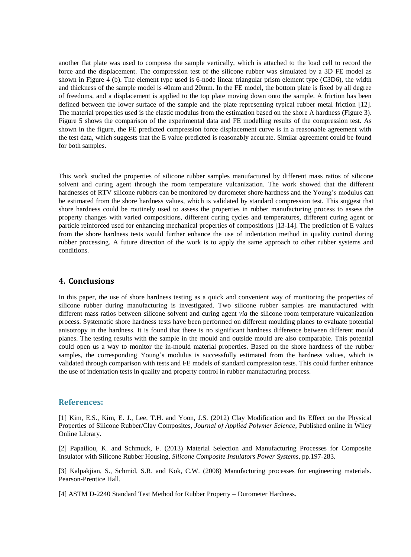another flat plate was used to compress the sample vertically, which is attached to the load cell to record the force and the displacement. The compression test of the silicone rubber was simulated by a 3D FE model as shown in Figure 4 (b). The element type used is 6-node linear triangular prism element type (C3D6), the width and thickness of the sample model is 40mm and 20mm. In the FE model, the bottom plate is fixed by all degree of freedoms, and a displacement is applied to the top plate moving down onto the sample. A friction has been defined between the lower surface of the sample and the plate representing typical rubber metal friction [12]. The material properties used is the elastic modulus from the estimation based on the shore A hardness (Figure 3). Figure 5 shows the comparison of the experimental data and FE modelling results of the compression test. As shown in the figure, the FE predicted compression force displacement curve is in a reasonable agreement with the test data, which suggests that the E value predicted is reasonably accurate. Similar agreement could be found for both samples.

This work studied the properties of silicone rubber samples manufactured by different mass ratios of silicone solvent and curing agent through the room temperature vulcanization. The work showed that the different hardnesses of RTV silicone rubbers can be monitored by durometer shore hardness and the Young's modulus can be estimated from the shore hardness values, which is validated by standard compression test. This suggest that shore hardness could be routinely used to assess the properties in rubber manufacturing process to assess the property changes with varied compositions, different curing cycles and temperatures, different curing agent or particle reinforced used for enhancing mechanical properties of compositions [13-14]. The prediction of E values from the shore hardness tests would further enhance the use of indentation method in quality control during rubber processing. A future direction of the work is to apply the same approach to other rubber systems and conditions.

# **4. Conclusions**

In this paper, the use of shore hardness testing as a quick and convenient way of monitoring the properties of silicone rubber during manufacturing is investigated. Two silicone rubber samples are manufactured with different mass ratios between silicone solvent and curing agent *via* the silicone room temperature vulcanization process. Systematic shore hardness tests have been performed on different moulding planes to evaluate potential anisotropy in the hardness. It is found that there is no significant hardness difference between different mould planes. The testing results with the sample in the mould and outside mould are also comparable. This potential could open us a way to monitor the in-mould material properties. Based on the shore hardness of the rubber samples, the corresponding Young's modulus is successfully estimated from the hardness values, which is validated through comparison with tests and FE models of standard compression tests. This could further enhance the use of indentation tests in quality and property control in rubber manufacturing process.

#### **References:**

[1] Kim, E.S., Kim, E. J., Lee, T.H. and Yoon, J.S. (2012) Clay Modification and Its Effect on the Physical Properties of Silicone Rubber/Clay Composites, *Journal of Applied Polymer Science*, Published online in Wiley Online Library.

[2] Papailiou, K. and Schmuck, F. (2013) Material Selection and Manufacturing Processes for Composite Insulator with Silicone Rubber Housing*, Silicone Composite Insulators Power Systems*, pp.197-283.

[3] Kalpakjian, S., Schmid, S.R. and Kok, C.W. (2008) Manufacturing processes for engineering materials. Pearson-Prentice Hall.

[4] ASTM D-2240 Standard Test Method for Rubber Property – Durometer Hardness.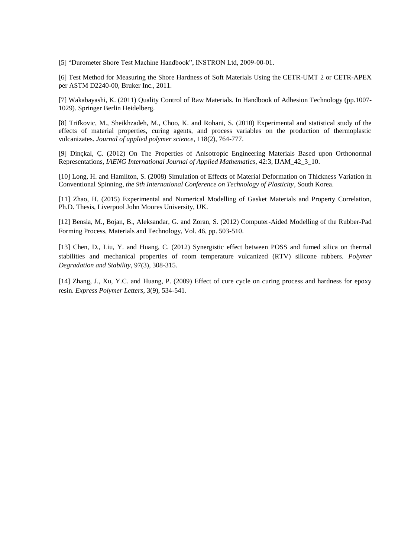[5] "Durometer Shore Test Machine Handbook", INSTRON Ltd, 2009-00-01.

[6] Test Method for Measuring the Shore Hardness of Soft Materials Using the CETR-UMT 2 or CETR-APEX per ASTM D2240-00, Bruker Inc., 2011.

[7] Wakabayashi, K. (2011) Quality Control of Raw Materials. In Handbook of Adhesion Technology (pp.1007- 1029). Springer Berlin Heidelberg.

[8] Trifkovic, M., Sheikhzadeh, M., Choo, K. and Rohani, S. (2010) Experimental and statistical study of the effects of material properties, curing agents, and process variables on the production of thermoplastic vulcanizates. *Journal of applied polymer science*, 118(2), 764-777.

[9] Dinçkal, Ç. (2012) On The Properties of Anisotropic Engineering Materials Based upon Orthonormal Representations, *IAENG International Journal of Applied Mathematics*, 42:3, IJAM\_42\_3\_10.

[10] Long, H. and Hamilton, S. (2008) Simulation of Effects of Material Deformation on Thickness Variation in Conventional Spinning, *the 9th International Conference on Technology of Plasticity*, South Korea.

[11] Zhao, H. (2015) Experimental and Numerical Modelling of Gasket Materials and Property Correlation, Ph.D. Thesis, Liverpool John Moores University, UK.

[12] Bensia, M., Bojan, B., Aleksandar, G. and Zoran, S. (2012) Computer-Aided Modelling of the Rubber-Pad Forming Process, Materials and Technology, Vol. 46, pp. 503-510.

[13] Chen, D., Liu, Y. and Huang, C. (2012) Synergistic effect between POSS and fumed silica on thermal stabilities and mechanical properties of room temperature vulcanized (RTV) silicone rubbers. *Polymer Degradation and Stability*, 97(3), 308-315.

[14] Zhang, J., Xu, Y.C. and Huang, P. (2009) Effect of cure cycle on curing process and hardness for epoxy resin. *Express Polymer Letters*, 3(9), 534-541.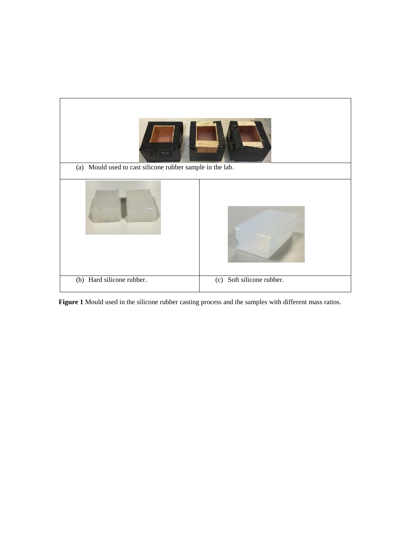

**Figure 1** Mould used in the silicone rubber casting process and the samples with different mass ratios.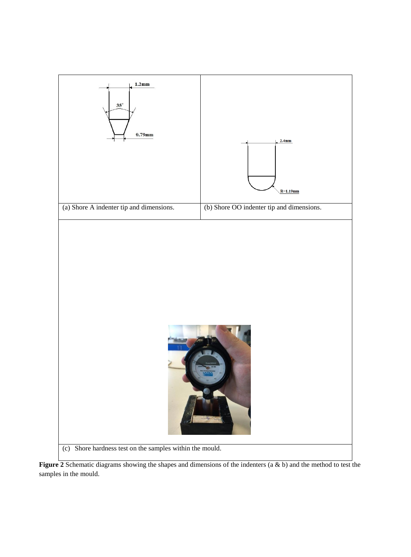

**Figure 2** Schematic diagrams showing the shapes and dimensions of the indenters (a & b) and the method to test the samples in the mould.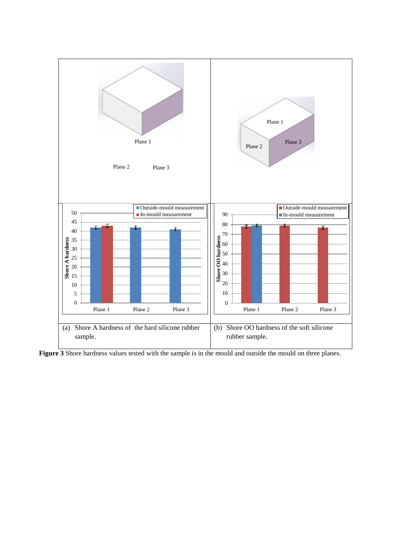

**Figure 3** Shore hardness values tested with the sample is in the mould and outside the mould on three planes.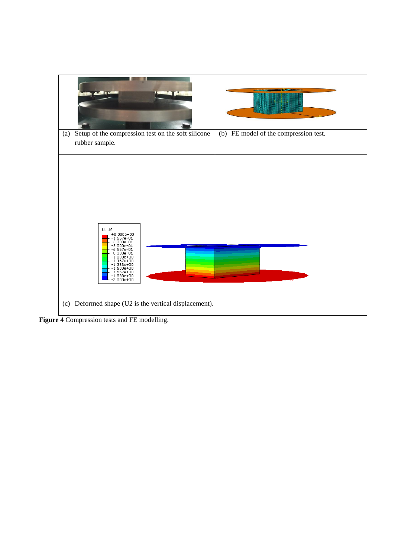

**Figure 4** Compression tests and FE modelling.